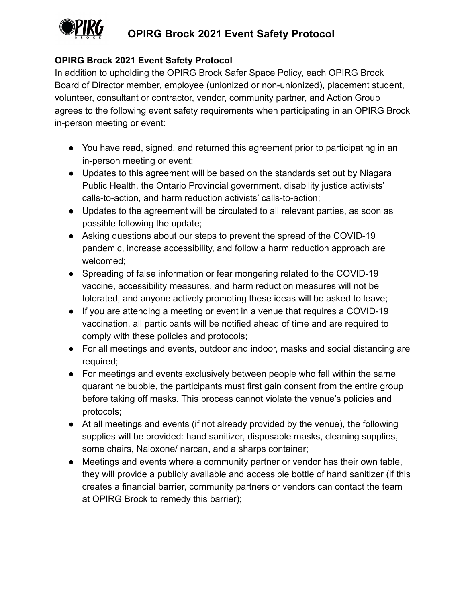

## **OPIRG Brock 2021 Event Safety Protocol**

## **OPIRG Brock 2021 Event Safety Protocol**

In addition to upholding the OPIRG Brock Safer Space Policy, each OPIRG Brock Board of Director member, employee (unionized or non-unionized), placement student, volunteer, consultant or contractor, vendor, community partner, and Action Group agrees to the following event safety requirements when participating in an OPIRG Brock in-person meeting or event:

- You have read, signed, and returned this agreement prior to participating in an in-person meeting or event;
- Updates to this agreement will be based on the standards set out by Niagara Public Health, the Ontario Provincial government, disability justice activists' calls-to-action, and harm reduction activists' calls-to-action;
- Updates to the agreement will be circulated to all relevant parties, as soon as possible following the update;
- Asking questions about our steps to prevent the spread of the COVID-19 pandemic, increase accessibility, and follow a harm reduction approach are welcomed;
- Spreading of false information or fear mongering related to the COVID-19 vaccine, accessibility measures, and harm reduction measures will not be tolerated, and anyone actively promoting these ideas will be asked to leave;
- If you are attending a meeting or event in a venue that requires a COVID-19 vaccination, all participants will be notified ahead of time and are required to comply with these policies and protocols;
- For all meetings and events, outdoor and indoor, masks and social distancing are required;
- For meetings and events exclusively between people who fall within the same quarantine bubble, the participants must first gain consent from the entire group before taking off masks. This process cannot violate the venue's policies and protocols;
- At all meetings and events (if not already provided by the venue), the following supplies will be provided: hand sanitizer, disposable masks, cleaning supplies, some chairs, Naloxone/ narcan, and a sharps container;
- Meetings and events where a community partner or vendor has their own table, they will provide a publicly available and accessible bottle of hand sanitizer (if this creates a financial barrier, community partners or vendors can contact the team at OPIRG Brock to remedy this barrier);